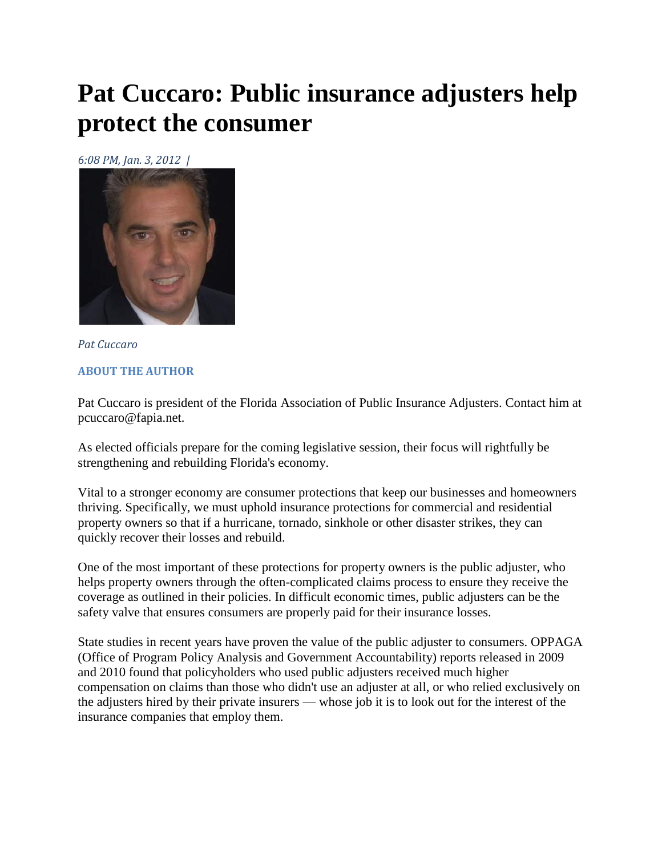## **Pat Cuccaro: Public insurance adjusters help protect the consumer**

*6:08 PM, Jan. 3, 2012 |* 



*Pat Cuccaro*  **ABOUT THE AUTHOR**

Pat Cuccaro is president of the Florida Association of Public Insurance Adjusters. Contact him at pcuccaro@fapia.net.

As elected officials prepare for the coming legislative session, their focus will rightfully be strengthening and rebuilding Florida's economy.

Vital to a stronger economy are consumer protections that keep our businesses and homeowners thriving. Specifically, we must uphold insurance protections for commercial and residential property owners so that if a hurricane, tornado, sinkhole or other disaster strikes, they can quickly recover their losses and rebuild.

One of the most important of these protections for property owners is the public adjuster, who helps property owners through the often-complicated claims process to ensure they receive the coverage as outlined in their policies. In difficult economic times, public adjusters can be the safety valve that ensures consumers are properly paid for their insurance losses.

State studies in recent years have proven the value of the public adjuster to consumers. OPPAGA (Office of Program Policy Analysis and Government Accountability) reports released in 2009 and 2010 found that policyholders who used public adjusters received much higher compensation on claims than those who didn't use an adjuster at all, or who relied exclusively on the adjusters hired by their private insurers — whose job it is to look out for the interest of the insurance companies that employ them.